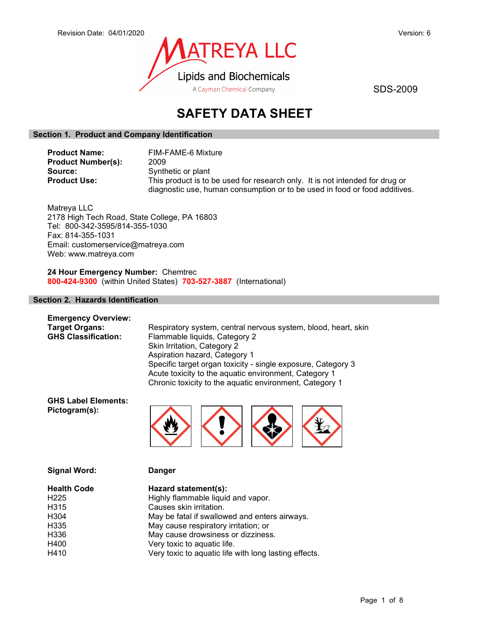

# SAFETY DATA SHEET

# Section 1. Product and Company Identification

| <b>Product Name:</b>      | FIM-FAME-6 Mixture                                                           |
|---------------------------|------------------------------------------------------------------------------|
| <b>Product Number(s):</b> | 2009                                                                         |
| Source:                   | Synthetic or plant                                                           |
| <b>Product Use:</b>       | This product is to be used for research only. It is not intended for drug or |
|                           | diagnostic use, human consumption or to be used in food or food additives.   |

Matreya LLC 2178 High Tech Road, State College, PA 16803 Tel: 800-342-3595/814-355-1030 Fax: 814-355-1031 Email: customerservice@matreya.com Web: www.matreya.com

24 Hour Emergency Number: Chemtrec 800-424-9300 (within United States) 703-527-3887 (International)

### Section 2. Hazards Identification

| <b>Emergency Overview:</b> |                                                                |
|----------------------------|----------------------------------------------------------------|
| <b>Target Organs:</b>      | Respiratory system, central nervous system, blood, heart, skin |
| <b>GHS Classification:</b> | Flammable liquids, Category 2                                  |
|                            | Skin Irritation, Category 2                                    |
|                            | Aspiration hazard, Category 1                                  |
|                            | Specific target organ toxicity - single exposure, Category 3   |
|                            | Acute toxicity to the aquatic environment, Category 1          |
|                            | Chronic toxicity to the aquatic environment, Category 1        |

GHS Label Elements: Pictogram(s):



| <b>Signal Word:</b> | <b>Danger</b>                                         |
|---------------------|-------------------------------------------------------|
| <b>Health Code</b>  | Hazard statement(s):                                  |
| H <sub>225</sub>    | Highly flammable liquid and vapor.                    |
| H <sub>3</sub> 15   | Causes skin irritation.                               |
| H <sub>304</sub>    | May be fatal if swallowed and enters airways.         |
| H <sub>335</sub>    | May cause respiratory irritation; or                  |
| H <sub>336</sub>    | May cause drowsiness or dizziness.                    |
| H400                | Very toxic to aquatic life.                           |
| H410                | Very toxic to aquatic life with long lasting effects. |
|                     |                                                       |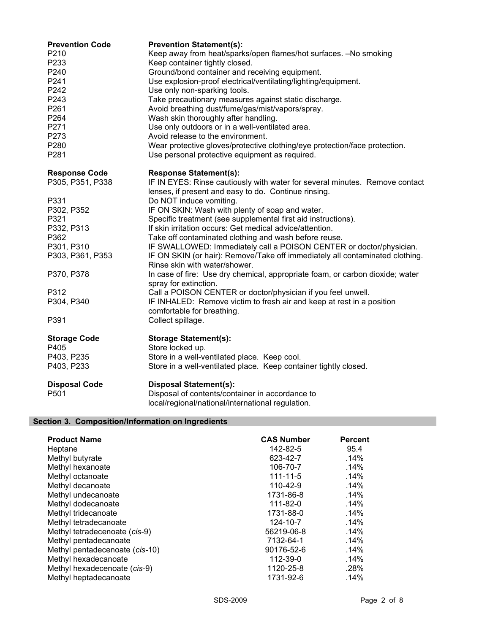| <b>Prevention Code</b><br>P210<br>P233<br>P240<br>P241<br>P242<br>P243<br>P261<br>P264<br>P271<br>P273<br>P280<br>P281 | <b>Prevention Statement(s):</b><br>Keep away from heat/sparks/open flames/hot surfaces. -No smoking<br>Keep container tightly closed.<br>Ground/bond container and receiving equipment.<br>Use explosion-proof electrical/ventilating/lighting/equipment.<br>Use only non-sparking tools.<br>Take precautionary measures against static discharge.<br>Avoid breathing dust/fume/gas/mist/vapors/spray.<br>Wash skin thoroughly after handling.<br>Use only outdoors or in a well-ventilated area.<br>Avoid release to the environment.<br>Wear protective gloves/protective clothing/eye protection/face protection.<br>Use personal protective equipment as required. |
|------------------------------------------------------------------------------------------------------------------------|------------------------------------------------------------------------------------------------------------------------------------------------------------------------------------------------------------------------------------------------------------------------------------------------------------------------------------------------------------------------------------------------------------------------------------------------------------------------------------------------------------------------------------------------------------------------------------------------------------------------------------------------------------------------|
|                                                                                                                        |                                                                                                                                                                                                                                                                                                                                                                                                                                                                                                                                                                                                                                                                        |
| <b>Response Code</b><br>P305, P351, P338                                                                               | <b>Response Statement(s):</b><br>IF IN EYES: Rinse cautiously with water for several minutes. Remove contact<br>lenses, if present and easy to do. Continue rinsing.                                                                                                                                                                                                                                                                                                                                                                                                                                                                                                   |
| P331                                                                                                                   | Do NOT induce vomiting.                                                                                                                                                                                                                                                                                                                                                                                                                                                                                                                                                                                                                                                |
| P302, P352                                                                                                             | IF ON SKIN: Wash with plenty of soap and water.                                                                                                                                                                                                                                                                                                                                                                                                                                                                                                                                                                                                                        |
| P321                                                                                                                   | Specific treatment (see supplemental first aid instructions).                                                                                                                                                                                                                                                                                                                                                                                                                                                                                                                                                                                                          |
| P332, P313                                                                                                             | If skin irritation occurs: Get medical advice/attention.                                                                                                                                                                                                                                                                                                                                                                                                                                                                                                                                                                                                               |
| P362                                                                                                                   | Take off contaminated clothing and wash before reuse.                                                                                                                                                                                                                                                                                                                                                                                                                                                                                                                                                                                                                  |
| P301, P310                                                                                                             | IF SWALLOWED: Immediately call a POISON CENTER or doctor/physician.                                                                                                                                                                                                                                                                                                                                                                                                                                                                                                                                                                                                    |
| P303, P361, P353                                                                                                       | IF ON SKIN (or hair): Remove/Take off immediately all contaminated clothing.<br>Rinse skin with water/shower.                                                                                                                                                                                                                                                                                                                                                                                                                                                                                                                                                          |
| P370, P378                                                                                                             | In case of fire: Use dry chemical, appropriate foam, or carbon dioxide; water                                                                                                                                                                                                                                                                                                                                                                                                                                                                                                                                                                                          |
| P312                                                                                                                   | spray for extinction.<br>Call a POISON CENTER or doctor/physician if you feel unwell.                                                                                                                                                                                                                                                                                                                                                                                                                                                                                                                                                                                  |
| P304, P340                                                                                                             | IF INHALED: Remove victim to fresh air and keep at rest in a position                                                                                                                                                                                                                                                                                                                                                                                                                                                                                                                                                                                                  |
| P391                                                                                                                   | comfortable for breathing.<br>Collect spillage.                                                                                                                                                                                                                                                                                                                                                                                                                                                                                                                                                                                                                        |
| <b>Storage Code</b>                                                                                                    | <b>Storage Statement(s):</b>                                                                                                                                                                                                                                                                                                                                                                                                                                                                                                                                                                                                                                           |
| P405                                                                                                                   | Store locked up.                                                                                                                                                                                                                                                                                                                                                                                                                                                                                                                                                                                                                                                       |
| P403, P235                                                                                                             | Store in a well-ventilated place. Keep cool.                                                                                                                                                                                                                                                                                                                                                                                                                                                                                                                                                                                                                           |
| P403, P233                                                                                                             | Store in a well-ventilated place. Keep container tightly closed.                                                                                                                                                                                                                                                                                                                                                                                                                                                                                                                                                                                                       |
| <b>Disposal Code</b>                                                                                                   | <b>Disposal Statement(s):</b>                                                                                                                                                                                                                                                                                                                                                                                                                                                                                                                                                                                                                                          |
| P501                                                                                                                   | Disposal of contents/container in accordance to                                                                                                                                                                                                                                                                                                                                                                                                                                                                                                                                                                                                                        |
|                                                                                                                        | local/regional/national/international regulation.                                                                                                                                                                                                                                                                                                                                                                                                                                                                                                                                                                                                                      |

# Section 3. Composition/Information on Ingredients

| <b>Product Name</b><br>Heptane | <b>CAS Number</b><br>142-82-5 | <b>Percent</b><br>95.4 |
|--------------------------------|-------------------------------|------------------------|
| Methyl butyrate                | 623-42-7                      | .14%                   |
| Methyl hexanoate               | 106-70-7                      | .14%                   |
| Methyl octanoate               | 111-11-5                      | .14%                   |
| Methyl decanoate               | 110-42-9                      | .14%                   |
| Methyl undecanoate             | 1731-86-8                     | .14%                   |
| Methyl dodecanoate             | 111-82-0                      | .14%                   |
| Methyl tridecanoate            | 1731-88-0                     | $.14\%$                |
| Methyl tetradecanoate          | 124-10-7                      | .14%                   |
| Methyl tetradecenoate (cis-9)  | 56219-06-8                    | .14%                   |
| Methyl pentadecanoate          | 7132-64-1                     | .14%                   |
| Methyl pentadecenoate (cis-10) | 90176-52-6                    | .14%                   |
| Methyl hexadecanoate           | 112-39-0                      | .14%                   |
| Methyl hexadecenoate (cis-9)   | 1120-25-8                     | .28%                   |
| Methyl heptadecanoate          | 1731-92-6                     | .14%                   |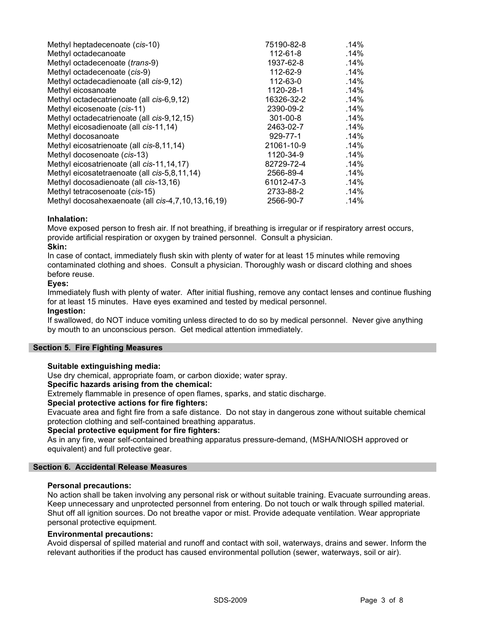| Methyl heptadecenoate (cis-10)                    | 75190-82-8     | $.14\%$ |
|---------------------------------------------------|----------------|---------|
| Methyl octadecanoate                              | 112-61-8       | .14%    |
| Methyl octadecenoate (trans-9)                    | 1937-62-8      | .14%    |
| Methyl octadecenoate (cis-9)                      | 112-62-9       | .14%    |
| Methyl octadecadienoate (all cis-9,12)            | 112-63-0       | .14%    |
| Methyl eicosanoate                                | 1120-28-1      | .14%    |
| Methyl octadecatrienoate (all cis-6,9,12)         | 16326-32-2     | .14%    |
| Methyl eicosenoate (cis-11)                       | 2390-09-2      | .14%    |
| Methyl octadecatrienoate (all cis-9,12,15)        | $301 - 00 - 8$ | .14%    |
| Methyl eicosadienoate (all cis-11,14)             | 2463-02-7      | .14%    |
| Methyl docosanoate                                | 929-77-1       | .14%    |
| Methyl eicosatrienoate (all cis-8,11,14)          | 21061-10-9     | $.14\%$ |
| Methyl docosenoate (cis-13)                       | 1120-34-9      | .14%    |
| Methyl eicosatrienoate (all cis-11,14,17)         | 82729-72-4     | .14%    |
| Methyl eicosatetraenoate (all cis-5,8,11,14)      | 2566-89-4      | .14%    |
| Methyl docosadienoate (all cis-13,16)             | 61012-47-3     | .14%    |
| Methyl tetracosenoate (cis-15)                    | 2733-88-2      | .14%    |
| Methyl docosahexaenoate (all cis-4,7,10,13,16,19) | 2566-90-7      | .14%    |

### Inhalation:

Move exposed person to fresh air. If not breathing, if breathing is irregular or if respiratory arrest occurs, provide artificial respiration or oxygen by trained personnel. Consult a physician.

#### Skin:

In case of contact, immediately flush skin with plenty of water for at least 15 minutes while removing contaminated clothing and shoes. Consult a physician. Thoroughly wash or discard clothing and shoes before reuse.

#### Eyes:

Immediately flush with plenty of water. After initial flushing, remove any contact lenses and continue flushing for at least 15 minutes. Have eyes examined and tested by medical personnel.

### Ingestion:

If swallowed, do NOT induce vomiting unless directed to do so by medical personnel. Never give anything by mouth to an unconscious person. Get medical attention immediately.

### Section 5. Fire Fighting Measures

#### Suitable extinguishing media:

Use dry chemical, appropriate foam, or carbon dioxide; water spray.

# Specific hazards arising from the chemical:

Extremely flammable in presence of open flames, sparks, and static discharge.

#### Special protective actions for fire fighters:

Evacuate area and fight fire from a safe distance. Do not stay in dangerous zone without suitable chemical protection clothing and self-contained breathing apparatus.

#### Special protective equipment for fire fighters:

As in any fire, wear self-contained breathing apparatus pressure-demand, (MSHA/NIOSH approved or equivalent) and full protective gear.

#### Section 6. Accidental Release Measures

#### Personal precautions:

No action shall be taken involving any personal risk or without suitable training. Evacuate surrounding areas. Keep unnecessary and unprotected personnel from entering. Do not touch or walk through spilled material. Shut off all ignition sources. Do not breathe vapor or mist. Provide adequate ventilation. Wear appropriate personal protective equipment.

#### Environmental precautions:

Avoid dispersal of spilled material and runoff and contact with soil, waterways, drains and sewer. Inform the relevant authorities if the product has caused environmental pollution (sewer, waterways, soil or air).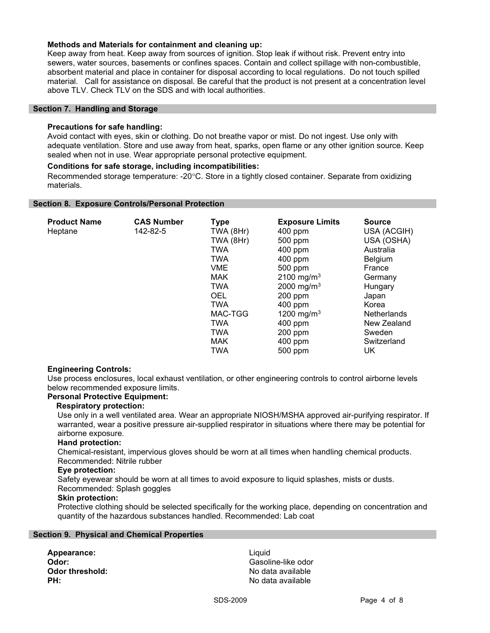#### Methods and Materials for containment and cleaning up:

Keep away from heat. Keep away from sources of ignition. Stop leak if without risk. Prevent entry into sewers, water sources, basements or confines spaces. Contain and collect spillage with non-combustible, absorbent material and place in container for disposal according to local regulations. Do not touch spilled material. Call for assistance on disposal. Be careful that the product is not present at a concentration level above TLV. Check TLV on the SDS and with local authorities.

#### Section 7. Handling and Storage

#### Precautions for safe handling:

Avoid contact with eyes, skin or clothing. Do not breathe vapor or mist. Do not ingest. Use only with adequate ventilation. Store and use away from heat, sparks, open flame or any other ignition source. Keep sealed when not in use. Wear appropriate personal protective equipment.

#### Conditions for safe storage, including incompatibilities:

Recommended storage temperature: -20°C. Store in a tightly closed container. Separate from oxidizing materials.

#### Section 8. Exposure Controls/Personal Protection

| <b>Product Name</b> | <b>CAS Number</b> | Type       | <b>Exposure Limits</b> | <b>Source</b> |
|---------------------|-------------------|------------|------------------------|---------------|
| Heptane             | 142-82-5          | TWA (8Hr)  | $400$ ppm              | USA (ACGIH)   |
|                     |                   | TWA (8Hr)  | 500 ppm                | USA (OSHA)    |
|                     |                   | TWA        | 400 ppm                | Australia     |
|                     |                   | <b>TWA</b> | 400 ppm                | Belgium       |
|                     |                   | <b>VME</b> | 500 ppm                | France        |
|                     |                   | <b>MAK</b> | 2100 mg/m <sup>3</sup> | Germany       |
|                     |                   | <b>TWA</b> | 2000 mg/m <sup>3</sup> | Hungary       |
|                     |                   | <b>OEL</b> | 200 ppm                | Japan         |
|                     |                   | <b>TWA</b> | 400 ppm                | Korea         |
|                     |                   | MAC-TGG    | 1200 mg/m <sup>3</sup> | Netherlands   |
|                     |                   | <b>TWA</b> | 400 ppm                | New Zealand   |
|                     |                   | <b>TWA</b> | 200 ppm                | Sweden        |
|                     |                   | <b>MAK</b> | 400 ppm                | Switzerland   |
|                     |                   | TWA        | 500 ppm                | UK            |

#### Engineering Controls:

Use process enclosures, local exhaust ventilation, or other engineering controls to control airborne levels below recommended exposure limits.

#### Personal Protective Equipment:

#### Respiratory protection:

Use only in a well ventilated area. Wear an appropriate NIOSH/MSHA approved air-purifying respirator. If warranted, wear a positive pressure air-supplied respirator in situations where there may be potential for airborne exposure.

#### Hand protection:

Chemical-resistant, impervious gloves should be worn at all times when handling chemical products.

# Recommended: Nitrile rubber

# Eye protection:

Safety eyewear should be worn at all times to avoid exposure to liquid splashes, mists or dusts.

# Recommended: Splash goggles

# Skin protection:

Protective clothing should be selected specifically for the working place, depending on concentration and quantity of the hazardous substances handled. Recommended: Lab coat

#### Section 9. Physical and Chemical Properties

Appearance: Liquid

Odor: Gasoline-like odor **Odor threshold:** No data available **PH:** No data available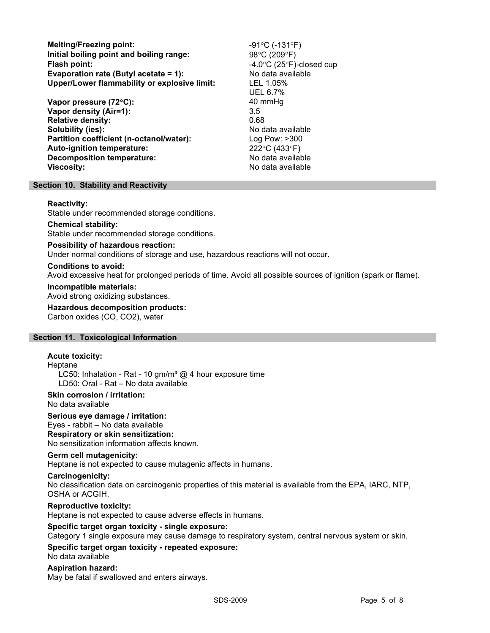Melting/Freezing point:  $-91^{\circ}C (-131^{\circ}F)$ Initial boiling point and boiling range:  $98^{\circ}C (209^{\circ}F)$ Flash point:  $-4.0^{\circ}$ C (25°F)-closed cup Evaporation rate (Butyl acetate = 1): No data available Upper/Lower flammability or explosive limit: LEL 1.05%

Vapor pressure (72°C): 40 mmHg Vapor density (Air=1): 3.5 Relative density: 0.68 Solubility (ies): No data available Partition coefficient (n-octanol/water): Log Pow: >300 Auto-ignition temperature: 222°C (433°F) Decomposition temperature: No data available Viscosity: No data available

UEL 6.7%

#### Section 10. Stability and Reactivity

#### Reactivity:

Stable under recommended storage conditions.

#### Chemical stability:

Stable under recommended storage conditions.

#### Possibility of hazardous reaction:

Under normal conditions of storage and use, hazardous reactions will not occur.

#### Conditions to avoid:

Avoid excessive heat for prolonged periods of time. Avoid all possible sources of ignition (spark or flame).

#### Incompatible materials:

Avoid strong oxidizing substances.

# Hazardous decomposition products:

Carbon oxides (CO, CO2), water

#### Section 11. Toxicological Information

# Acute toxicity:

Heptane

LC50: Inhalation - Rat - 10 gm/m<sup>3</sup>  $@$  4 hour exposure time LD50: Oral - Rat – No data available

# Skin corrosion / irritation:

No data available

# Serious eye damage / irritation:

Eyes - rabbit – No data available

# Respiratory or skin sensitization:

No sensitization information affects known.

#### Germ cell mutagenicity:

Heptane is not expected to cause mutagenic affects in humans.

#### Carcinogenicity:

No classification data on carcinogenic properties of this material is available from the EPA, IARC, NTP, OSHA or ACGIH.

#### Reproductive toxicity:

Heptane is not expected to cause adverse effects in humans.

#### Specific target organ toxicity - single exposure:

Category 1 single exposure may cause damage to respiratory system, central nervous system or skin.

# Specific target organ toxicity - repeated exposure:

No data available

#### Aspiration hazard:

May be fatal if swallowed and enters airways.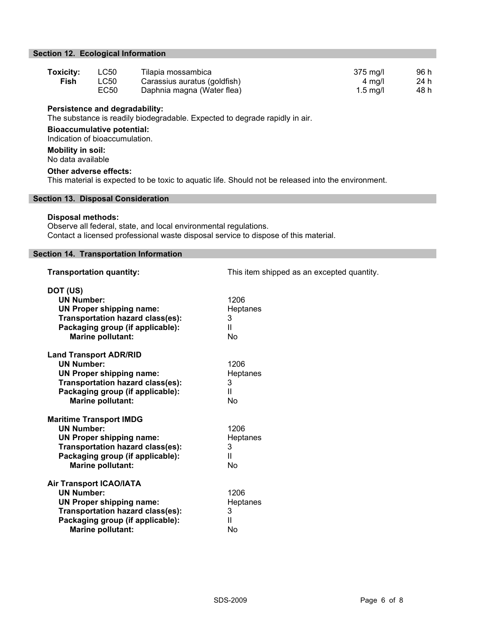# Section 12. Ecological Information

| Toxicity: | LC50 | Tilapia mossambica           | $375 \text{ mg/l}$ | 96 h |
|-----------|------|------------------------------|--------------------|------|
| Fish      | LC50 | Carassius auratus (goldfish) | 4 ma/l             | 24 h |
|           | EC50 | Daphnia magna (Water flea)   | $1.5 \text{ ma/l}$ | 48 h |

#### Persistence and degradability:

The substance is readily biodegradable. Expected to degrade rapidly in air.

Bioaccumulative potential: Indication of bioaccumulation.

# Mobility in soil:

No data available

#### Other adverse effects:

This material is expected to be toxic to aquatic life. Should not be released into the environment.

### Section 13. Disposal Consideration

#### Disposal methods:

Observe all federal, state, and local environmental regulations. Contact a licensed professional waste disposal service to dispose of this material.

# Section 14. Transportation Information

| GUUUT 17. TIANSPORANON MIUHIMANON                                                                                                                                                                 |                                              |
|---------------------------------------------------------------------------------------------------------------------------------------------------------------------------------------------------|----------------------------------------------|
| <b>Transportation quantity:</b>                                                                                                                                                                   | This item shipped as an excepted quantity.   |
| DOT (US)<br><b>UN Number:</b><br><b>UN Proper shipping name:</b><br><b>Transportation hazard class(es):</b><br>Packaging group (if applicable):<br><b>Marine pollutant:</b>                       | 1206<br>Heptanes<br>3<br>Ш<br>No             |
| <b>Land Transport ADR/RID</b><br><b>UN Number:</b><br><b>UN Proper shipping name:</b><br><b>Transportation hazard class(es):</b><br>Packaging group (if applicable):<br><b>Marine pollutant:</b>  | 1206<br>Heptanes<br>3<br>Ш<br>No             |
| <b>Maritime Transport IMDG</b><br><b>UN Number:</b><br><b>UN Proper shipping name:</b><br><b>Transportation hazard class(es):</b><br>Packaging group (if applicable):<br><b>Marine pollutant:</b> | 1206<br>Heptanes<br>3<br>Ш<br>No             |
| <b>Air Transport ICAO/IATA</b><br><b>UN Number:</b><br><b>UN Proper shipping name:</b><br><b>Transportation hazard class(es):</b><br>Packaging group (if applicable):<br><b>Marine pollutant:</b> | 1206<br>Heptanes<br>3<br>$\mathbf{II}$<br>No |
|                                                                                                                                                                                                   |                                              |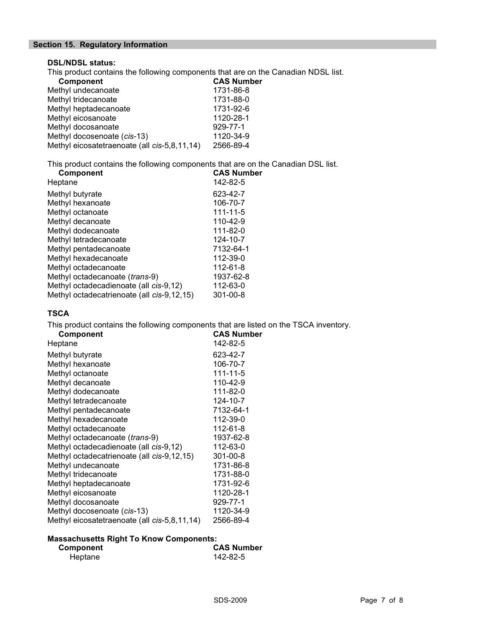# Section 15. Regulatory Information

# DSL/NDSL status:

This product contains the following components that are on the Canadian NDSL list.

| <b>Component</b>                             | <b>CAS Number</b> |
|----------------------------------------------|-------------------|
| Methyl undecanoate                           | 1731-86-8         |
| Methyl tridecanoate                          | 1731-88-0         |
| Methyl heptadecanoate                        | 1731-92-6         |
| Methyl eicosanoate                           | 1120-28-1         |
| Methyl docosanoate                           | 929-77-1          |
| Methyl docosenoate (cis-13)                  | 1120-34-9         |
| Methyl eicosatetraenoate (all cis-5,8,11,14) | 2566-89-4         |

This product contains the following components that are on the Canadian DSL list.

| <b>Component</b>                           | <b>CAS Number</b> |
|--------------------------------------------|-------------------|
| Heptane                                    | 142-82-5          |
| Methyl butyrate                            | 623-42-7          |
| Methyl hexanoate                           | 106-70-7          |
| Methyl octanoate                           | 111-11-5          |
| Methyl decanoate                           | 110-42-9          |
| Methyl dodecanoate                         | 111-82-0          |
| Methyl tetradecanoate                      | 124-10-7          |
| Methyl pentadecanoate                      | 7132-64-1         |
| Methyl hexadecanoate                       | 112-39-0          |
| Methyl octadecanoate                       | 112-61-8          |
| Methyl octadecanoate (trans-9)             | 1937-62-8         |
| Methyl octadecadienoate (all cis-9,12)     | 112-63-0          |
| Methyl octadecatrienoate (all cis-9,12,15) | $301 - 00 - 8$    |

# **TSCA**

This product contains the following components that are listed on the TSCA inventory.

| <b>Component</b>                             | <b>CAS Number</b> |
|----------------------------------------------|-------------------|
| Heptane                                      | 142-82-5          |
| Methyl butyrate                              | 623-42-7          |
| Methyl hexanoate                             | 106-70-7          |
| Methyl octanoate                             | $111 - 11 - 5$    |
| Methyl decanoate                             | 110-42-9          |
| Methyl dodecanoate                           | 111-82-0          |
| Methyl tetradecanoate                        | 124-10-7          |
| Methyl pentadecanoate                        | 7132-64-1         |
| Methyl hexadecanoate                         | 112-39-0          |
| Methyl octadecanoate                         | 112-61-8          |
| Methyl octadecanoate (trans-9)               | 1937-62-8         |
| Methyl octadecadienoate (all cis-9,12)       | 112-63-0          |
| Methyl octadecatrienoate (all cis-9,12,15)   | $301 - 00 - 8$    |
| Methyl undecanoate                           | 1731-86-8         |
| Methyl tridecanoate                          | 1731-88-0         |
| Methyl heptadecanoate                        | 1731-92-6         |
| Methyl eicosanoate                           | 1120-28-1         |
| Methyl docosanoate                           | 929-77-1          |
| Methyl docosenoate (cis-13)                  | 1120-34-9         |
| Methyl eicosatetraenoate (all cis-5,8,11,14) | 2566-89-4         |
|                                              |                   |

#### Massachusetts Right To Know Components:

| Component | <b>CAS Number</b> |
|-----------|-------------------|
| Heptane   | 142-82-5          |